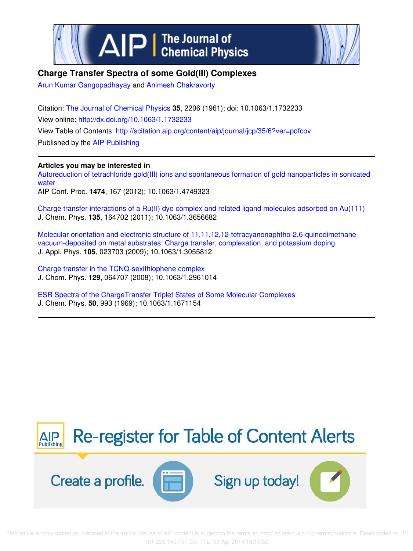



# **Charge Transfer Spectra of some Gold(III) Complexes**

Arun Kumar Gangopadhayay and Animesh Chakravorty

Citation: The Journal of Chemical Physics **35**, 2206 (1961); doi: 10.1063/1.1732233 View online: http://dx.doi.org/10.1063/1.1732233 View Table of Contents: http://scitation.aip.org/content/aip/journal/jcp/35/6?ver=pdfcov Published by the AIP Publishing

# **Articles you may be interested in**

Autoreduction of tetrachloride gold(III) ions and spontaneous formation of gold nanoparticles in sonicated water AIP Conf. Proc. **1474**, 167 (2012); 10.1063/1.4749323

Charge transfer interactions of a Ru(II) dye complex and related ligand molecules adsorbed on Au(111) J. Chem. Phys. **135**, 164702 (2011); 10.1063/1.3656682

Molecular orientation and electronic structure of 11,11,12,12-tetracyanonaphtho-2,6-quinodimethane vacuum-deposited on metal substrates: Charge transfer, complexation, and potassium doping J. Appl. Phys. **105**, 023703 (2009); 10.1063/1.3055812

Charge transfer in the TCNQ-sexithiophene complex J. Chem. Phys. **129**, 064707 (2008); 10.1063/1.2961014

ESR Spectra of the ChargeTransfer Triplet States of Some Molecular Complexes J. Chem. Phys. **50**, 993 (1969); 10.1063/1.1671154

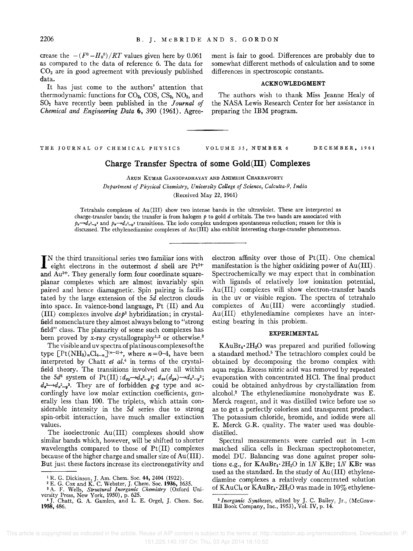crease the  $-(F^0 - H_0^0)/RT$  values given here by 0.061 as compared to the data of reference 6. The data for  $CO<sub>2</sub>$  are in good agreement with previously published data.

It has just come to the authors' attention that thermodynamic functions for  $CO_2$ ,  $COS$ ,  $CS_2$ ,  $NO_2$ , and S02 have recently been published in the *Journal of Chemical and Engineering Data* **6,** 390 (1961). Agreement is fair to good. Differences are probably due to somewhat different methods of calculation and to some differences in spectroscopic constants.

### ACKNOWLEDGMENT

The authors wish to thank Miss Jeanne Healy of the NASA Lewis Research Center for her assistance in preparing the IBM program.

THE JOURNAL OF CHEMICAL PHYSICS

#### VOLUME 35, NUMBER 6 DECEMBER,1961

# **Charge Transfer Spectra of some Gold(Ill) Complexes**

ARUN KUMAR GANGOPADHAYAY AND ANIMESH CHAKRAVORTY

*Department of Physical Chemistry, University College of Science, Calcutta-9, India*  (Received May 22, 1961)

Tetrahalo complexes of Au(III) show two intense bands in the ultraviolet. These are interpreted as charge-transfer bands; the transfer is from halogen  $p$  to gold  $d$  orbitals. The two bands are associated with  $p_{\sigma} \rightarrow d_x \rightarrow u_x$ <sup>2</sup> and  $p_{\pi} \rightarrow d_x \rightarrow u_x$ <sup>2</sup> transitions. The iodo complex undergoes spontaneous reduction; reason for this is discussed. The ethylenediamine complexes of Au(III) also exhibit interesting charge-transfer phenomenon.

 $\prod$ <sup>N</sup> the third transitional series two familiar ions with<br>eight electrons in the outermost d shell are Pt<sup>2+</sup> eight electrons in the outermost  $d$  shell are  $Pt^{2+}$ and Au<sup>3+</sup>. They generally form four coordinate squareplanar complexes which are almost invariably spin paired and hence diamagnetic. Spin pairing is facilitated by the large extension of the *5d* electron clouds into space. In valence-bond language, Pt (II) and Au (III) complexes involve *dSp2* hybridization; in crystalfield nomenclature they almost always belong to "strong field" class. The planarity of some such complexes has been proved by x-ray crystallography<sup>1,2</sup> or otherwise.<sup>3</sup>

The visible and uv spectra of platinous complexes oft he type  $[Pt(NH_3)_nCl_{4-n}]^{(n-2)+}$ , where  $n=0-4$ , have been interpreted by Chatt *et al.4* in terms of the crystalfield theory. The transitions involved are all within the 5*d*<sup>8</sup> system of Pt(II)  $:d_{xy} \rightarrow d_{x^2-y^2}$ ;  $d_{xz}(d_{yz}) \rightarrow d_{x^2-y^2}$ ;  $d_{\mathbf{z}}^2 \rightarrow d_{\mathbf{z}}^2 - \mathbf{y}^2$ . They are of forbidden *g-g* type and accordingly have low molar extinction coefficients, generally less than 100. The triplets, which attain considerable intensity in the *5d* series due to strong spin-orbit interaction, have much smaller extinction values.

The isoelectronic Au(III) complexes should show similar bands which, however, will be shifted to shorter wavelengths compared to those of  $Pt(II)$  complexes because of the higher charge and smaller size of Au(III). But just these factors increase its electronegativity and electron affinity over those of Pt(II). One chemical manifestation is the higher oxidizing power of Au(III). Spectrochemically we may expect that in combination with ligands of relatively low ionization potential, Au (III) complexes will show electron-transfer bands in the uv or visible region. The spectra of tetrahalo complexes of  $Au(III)$  were accordingly studied. Au(III) ethylenediamine complexes have an interesting bearing in this problem.

### EXPERIMENTAL

 $KAuBr_4 \tcdot 2H_2O$  was prepared and purified following a standard method.5 The tetrachloro complex could be obtained by decomposing the bromo complex with aqua regia. Excess nitric acid was removed by repeated evaporation with concentrated HCL The final product could be obtained anhydrous by crystallization from alcohoL2 The ethylenediamine monohydrate was E. Merck reagent, and it was distilled twice before use so as to get a perfectly colorless and transparent product. The potassium chloride, bromide, and iodide were all E. Merck G.R. quality. The water used was doubledistilled.

Spectral measurements were carried out in l-cm matched silica cells in Beckman spectrophotometer, model DU. Balancing was done against proper solutions e.g., for KAuBr4·2H20 in *IN* KBr; *IN* KBr was used as the standard. In the study of Au(III) ethylenediamine complexes a relatively concentrated solution of KAuCl<sub>4</sub> or KAuBr<sub>4</sub> $\cdot$  2H<sub>2</sub>O was made in 10% ethylene-

<sup>&</sup>lt;sup>1</sup> R. G. Dickinson, J. Am. Chem. Soc.  $44$ ,  $2404$  (1922).<br><sup>2</sup> E. G. Cox and K. C. Webster, J. Chem. Soc. 1936, 1635.<br><sup>3</sup> A. F. Wells, *Structural Inorganic Chemistry* (Oxford University Press, New York, 1950), p. 625.<br>v 1958,486.

<sup>5</sup> *Inorganic Syntheses,* edited by J. C. Bailey, Jr., (McGraw-Hill Book Company, Inc., 1953), Vol. IV, p. 14.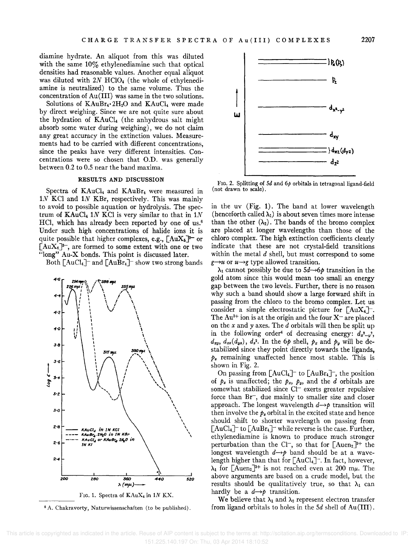diamine hydrate. An aliquot from this was diluted with the same 10% ethylenediamine such that optical densities had reasonable values. Another equal aliquot was diluted with *2N* HCI04 (the whole of ethylenediamine is neutralized) to the same volume. Thus the concentration of  $Au(III)$  was same in the two solutions.

Solutions of  $KAuBr_4 \tcdot 2H_2O$  and  $KAuCl_4$  were made by direct weighing. Since we are not quite sure about the hydration of KAuCl4 (the anhydrous salt might absorb some water during weighing), we do not claim any great accuracy in the extinction values. Measurements had to be carried with different concentrations, since the peaks have very different intensities. Concentrations were so chosen that O.D. was generally between 0.2 to 0.5 near the band maxima.

#### RESULTS AND DISCUSSION

Spectra of KAuCl4 and KAuBr4 were measured in 1N KCI and 1N KBr, respectively. This was mainly to avoid to possible aquation or hydrolysis. The spectrum of KAuCl<sub>4</sub> 1N KCl is very similar to that in  $1N$ HCl, which has already been reported by one of us.<sup>6</sup> Under such high concentrations of halide ions it is quite possible that higher complexes, e.g.,  $[AuX_{5}]^{2-}$  or  $[AuX<sub>6</sub>]<sup>3-</sup>$ , are formed to some extent with one or two "long" Au-X bonds. This point is discussed later.

Both  $[AuCl_4]^-$  and  $[AuBr_4]^-$  show two strong bands







FIG. 2. Splitting of *Sd* and *6p* orbitals in tetragonal ligand-field (not drawn to scale).

in the uv (Fig. 1). The band at lower wavelength (henceforth called  $\lambda_1$ ) is about seven times more intense than the other  $(\lambda_2)$ . The bands of the bromo complex are placed at longer wavelengths than those of the chloro complex. The high extinction coefficients clearly indicate that these are not crystal-field transitions within the metal *d* shell, but must correspond to some  $g \rightarrow u$  or  $u \rightarrow g$  type allowed transition.

 $\lambda_1$  cannot possibly be due to  $5d \rightarrow 6p$  transition in the gold atom since this would mean too small an energy gap between the two levels. Further, there is no reason why such a band should show a large forward shift in passing from the chloro to the bromo complex. Let us consider a simple electrostatic picture for  $[AuX_4]$ . The Au<sup>3+</sup> ion is at the origin and the four  $X^-$  are placed on the *x* and *y* axes. The *d* orbitals will then be split up in the following order<sup>4</sup> of decreasing energy:  $d_x^2$ <sup>2</sup>,  $v^2$ <sub>2</sub>  $d_{xy}$ ,  $d_{xz}(d_{yz})$ ,  $d_z$ <sup>2</sup>. In the 6p shell,  $p_x$  and  $p_y$  will be destabilized since they point directly towards the ligands,  $p<sub>z</sub>$  remaining unaffected hence most stable. This is shown in Fig. 2.

On passing from  $[AuCl_4]^-$  to  $[AuBr_4]^-$ , the position of  $p_z$  is unaffected; the  $p_x$ ,  $p_y$ , and the *d* orbitals are somewhat stabilized since Cl<sup>-</sup> exerts greater repulsive force than Br<sup>-</sup>, due mainly to smaller size and closer approach. The longest wavelength  $d \rightarrow p$  transition will then involve the  $p_z$  orbital in the excited state and hence should shift to shorter wavelength on passing from  $\lceil \text{AuCl}_4 \rceil$  to  $\lceil \text{AuBr}_4 \rceil$  while reverse is the case. Further, ethylenediamine is known to produce much stronger perturbation than the Cl-, so that for  $[ \text{Auen}_2 ]^{3+}$  the longest wavelength  $d \rightarrow p$  band should be at a wavelength higher than that for  $\lceil \text{AuCl}_4 \rceil$ . In fact, however,  $\lambda_1$  for [Auen<sub>2</sub>]<sup>3+</sup> is not reached even at 200 m $\mu$ . The above arguments are based on a crude model, but the results should be qualitatively true, so that  $\lambda_1$  can hardly be a  $d \rightarrow p$  transition.

We believe that  $\lambda_1$  and  $\lambda_2$  represent electron transfer from ligand orbitals to holes in the 5d shell of Au(III).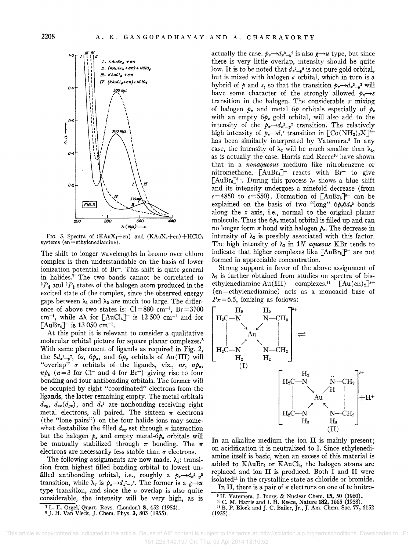

FIG. 3. Spectra of  $(KAuX_4+en)$  and  $(KAuX_4+en)+HClO<sub>4</sub>$ systems (en = ethylenediamine).

The shift to longer wavelengths in bromo over chloro complex is then understandable on the basis of lower ionization potential of *Br*<sup>-</sup>. This shift is quite general in halides.<sup>7</sup> The two bands cannot be correlated to  $2P_1$  and  $2P_2$  states of the halogen atom produced in the excited state of the complex, since the observed energy gaps between  $\lambda_1$  and  $\lambda_2$  are much too large. The difference of above two states is:  $Cl = 880$  cm<sup>-1</sup>, Br = 3700 cm<sup>-1</sup>, while  $\Delta\lambda$  for  $\lceil \text{AuCl}_4 \rceil$  is 12 500 cm<sup>-1</sup> and for  $[AuBr_4]$ <sup>-</sup> is 13 050 cm<sup>-1</sup>.

At this point it is relevant to consider a qualitative molecular orbital picture for square planar complexes.<sup>8</sup> With same placement of ligands as required in Fig. 2, the  $5d_x^2-y^2$ , 6s, 6 $p_x$ , and 6 $p_y$  orbitals of Au(III) will "overlap"  $\sigma$  orbitals of the ligands, viz.,  $ns$ ,  $np_x$ ,  $n p_y$  ( $n=3$  for Cl<sup>-</sup> and 4 for *Br<sup>-</sup>*) giving rise to four bonding and four antibonding orbitals. The former will be occupied by eight "coordinated" electrons from the ligands, the latter remaining empty. The metal orbitals  $d_{xy}$ ,  $d_{xz}(d_{yz})$ , and  $d_{z}$ <sup>2</sup> are nonbonding receiving eight metal electrons, all paired. The sixteen  $\pi$  electrons (the "lone pairs") on the four halide ions may somewhat destabilize the filled  $d_{xy}$  set through  $\pi$  interaction but the halogen  $p_z$  and empty metal- $6p_z$  orbitals will be mutually stabilized through  $\pi$  bonding. The  $\pi$ electrons are necessarily less stable than  $\sigma$  electrons.

The following assignments are now made.  $\lambda_1$ : transition from highest filled bonding orbital to lowest unfilled antibonding orbital, i.e., roughly a  $p_{\sigma} \rightarrow d_{x^2-y^2}$ transition, while  $\lambda_2$  is  $p_{\pi} \rightarrow d_x^2 \rightarrow y^2$ . The former is a  $g \rightarrow u$ type transition, and since the  $\sigma$  overlap is also quite considerable, the intensity will be very high, as is

actually the case.  $p_{\pi} \rightarrow d_x^2 \rightarrow u^2$  is also  $g \rightarrow u$  type, but since there is very little overlap, intensity should be quite low. It is to be noted that  $d_x^2-y^2$  is not pure gold orbital, but is mixed with halogen  $\sigma$  orbital, which in turn is a hybrid of  $p$  and  $s$ , so that the transition  $p_x \rightarrow d_x^2 - y^2$  will have some character of the strongly allowed  $p_x \rightarrow s$ transition in the halogen. The considerable  $\pi$  mixing of halogen  $p_x$  and metal  $6p$  orbitals especially of  $p_z$ with an empty  $6p<sub>z</sub>$  gold orbital, will also add to the intensity of the  $p_{\pi} \rightarrow d_x^2 y^2$  transition. The relatively high intensity of  $p_{\pi} \rightarrow d_{z}$ <sup>2</sup> transition in  $\text{[Co(NH<sub>3</sub>)<sub>5</sub>X]<sup>2+</sup>$ has been similarly interpreted by Yatemera.<sup>9</sup> In any case, the intensity of  $\lambda_2$  will be much smaller than  $\lambda_1$ , as is actually the case. Harris and Reece<sup>10</sup> have shown that in a *nonaqueous* medium like nitrobenzene or nitromethane,  $[AuBr_4]$  reacts with  $Br^-$  to give  $[AuBr_6]^{3-}$ . During this process  $\lambda_2$  shows a blue shift and its intensity undergoes a ninefold decrease (from  $\epsilon$ =4850 to  $\epsilon$ =550). Formation of  $\lceil \text{AuBr}_{6} \rceil$ <sup>3-</sup> can be explained on the basis of two "long"  $6p_26d_2$ <sup>2</sup> bonds along the *z* axis, i.e., normal to the original planar molecule. Thus the  $6p<sub>z</sub>$  metal orbital is filled up and can no longer form  $\pi$  bond with halogen  $p_z$ . The decrease in intensity of  $\lambda_2$  is possibly associated with this factor. The high intensity of  $\lambda_2$  in 1*N aqueous* KBr tends to indicate that higher complexes like  $[AuBr_6]$ <sup>3-</sup> are not formed in appreciable concentration.

Strong support in favor of the above assignment of  $\lambda_2$  is further obtained from studies on spectra of bisethylenediamine-Au(III) complexes.<sup>11</sup>  $[Au(en)_2]$ <sup>3+</sup> (en = ethylenediamine) acts as a monoacid base of  $P_K = 6.5$ , ionizing as follows:



In an alkaline medium the ion II is mainly present; on acidification it is neutralized to 1. Since ethylenediamine itself is basic, when an excess of this material is added to KAuBr4 or KAuCI4, the halogen atoms are replaced and ion II is produced. Both I and II were isolated<sup>11</sup> in the crystalline state as chloride or bromide.

In II, there is a pair of  $\pi$  electrons on one of te hnitro-

<sup>11</sup>B. P. Block and J. C. Bailer, Jr., J. Am. Chem. Soc. 77, 6152  $(1955)$ .

<sup>7</sup>L. E. Orgel; Quart. Revs. (London) 8, 452 (1954). <sup>8</sup>J. H. Van Vleck, J. Chern. Phys. 3, 803 (1935).

<sup>&</sup>lt;sup>9</sup> H. Yatemera, J. Inorg. & Nuclear Chem. **15,** 50 (1960). <sup>10</sup> C. M. Harris and I. H. Reece, Nature **182,** 1665 (1958).